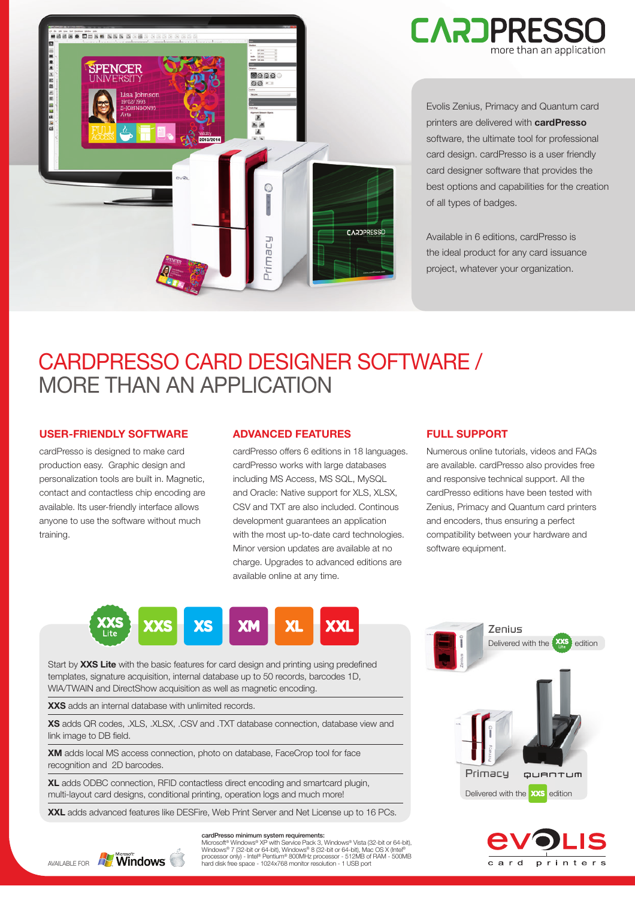

Evolis Zenius, Primacy and Quantum card printers are delivered with **cardPresso** software, the ultimate tool for professional card design. cardPresso is a user friendly card designer software that provides the best options and capabilities for the creation of all types of badges.

Available in 6 editions, cardPresso is the ideal product for any card issuance project, whatever your organization.

# CARDPRESSO CARD DESIGNER SOFTWARE / MORE THAN AN APPLICATION

## **USER-FRIENDLY SOFTWARE**

cardPresso is designed to make card production easy. Graphic design and personalization tools are built in. Magnetic, contact and contactless chip encoding are available. Its user-friendly interface allows anyone to use the software without much training.

## **ADVANCED FEATURES**

cardPresso offers 6 editions in 18 languages. cardPresso works with large databases including MS Access, MS SQL, MySQL and Oracle: Native support for XLS, XLSX, CSV and TXT are also included. Continous development guarantees an application with the most up-to-date card technologies. Minor version updates are available at no charge. Upgrades to advanced editions are available online at any time.

## **FULL SUPPORT**

Numerous online tutorials, videos and FAQs are available. cardPresso also provides free and responsive technical support. All the cardPresso editions have been tested with Zenius, Primacy and Quantum card printers and encoders, thus ensuring a perfect compatibility between your hardware and software equipment.



Start by **XXS Lite** with the basic features for card design and printing using predefined templates, signature acquisition, internal database up to 50 records, barcodes 1D, WIA/TWAIN and DirectShow acquisition as well as magnetic encoding.

**XXS** adds an internal database with unlimited records.

**XS** adds QR codes, .XLS, .XLSX, .CSV and .TXT database connection, database view and link image to DB field.

**XM** adds local MS access connection, photo on database, FaceCrop tool for face recognition and 2D barcodes.

**XL** adds ODBC connection, RFID contactless direct encoding and smartcard plugin, multi-layout card designs, conditional printing, operation logs and much more!

**XXL** adds advanced features like DESFire, Web Print Server and Net License up to 16 PCs.



#### cardPresso minimum system requirements:

Microsoft® Windows® XP with Service Pack 3, Windows® Vista (32-bit or 64-bit),<br>Windows® 7 (32-bit or 64-bit), Windows® 8 (32-bit or 64-bit), Mac OS X (Intel®<br>AVAILABLE FOR **WINDOWS** Mard disk free space - 1024x768 monitor